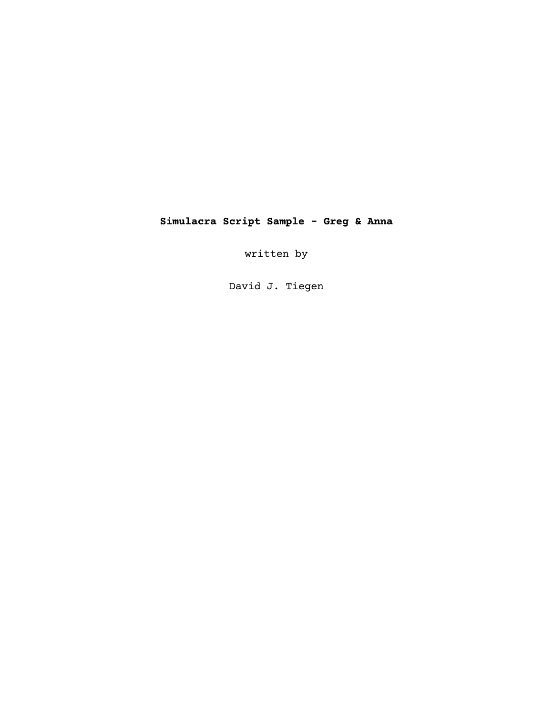# **Simulacra Script Sample - Greg & Anna**

written by

David J. Tiegen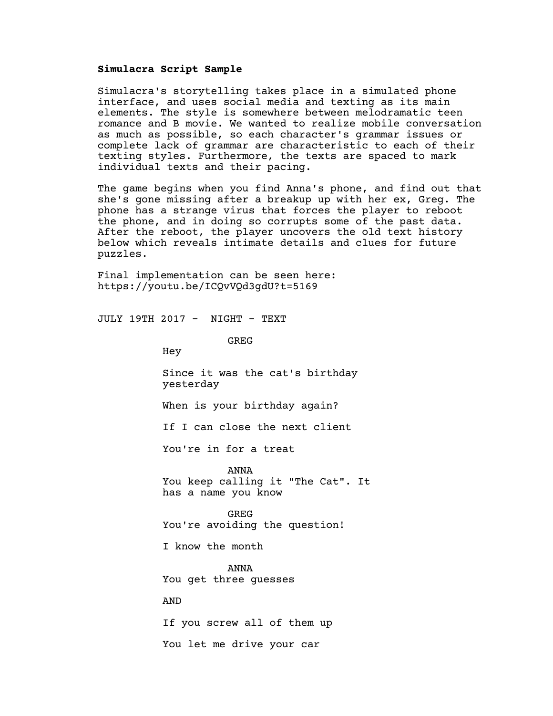#### **Simulacra Script Sample**

Simulacra's storytelling takes place in a simulated phone interface, and uses social media and texting as its main elements. The style is somewhere between melodramatic teen romance and B movie. We wanted to realize mobile conversation as much as possible, so each character's grammar issues or complete lack of grammar are characteristic to each of their texting styles. Furthermore, the texts are spaced to mark individual texts and their pacing.

The game begins when you find Anna's phone, and find out that she's gone missing after a breakup up with her ex, Greg. The phone has a strange virus that forces the player to reboot the phone, and in doing so corrupts some of the past data. After the reboot, the player uncovers the old text history below which reveals intimate details and clues for future puzzles.

Final implementation can be seen here: https://youtu.be/ICQvVQd3gdU?t=5169

JULY 19TH 2017 - NIGHT - TEXT

GREG

Hey

Since it was the cat's birthday yesterday

When is your birthday again?

If I can close the next client

You're in for a treat

ANNA You keep calling it "The Cat". It has a name you know

GREG You're avoiding the question!

I know the month

ANNA You get three guesses

AND

If you screw all of them up

You let me drive your car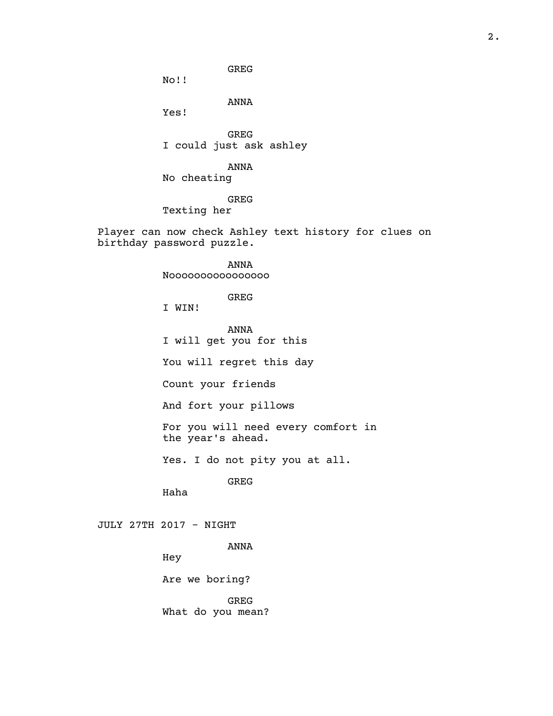GREG

No!!

ANNA

Yes!

GREG I could just ask ashley

ANNA

No cheating

GREG

Texting her

Player can now check Ashley text history for clues on birthday password puzzle.

> ANNA Noooooooooooooooo

> > GREG

I WIN!

ANNA I will get you for this

You will regret this day

Count your friends

And fort your pillows

For you will need every comfort in the year's ahead.

Yes. I do not pity you at all.

GREG

Haha

## JULY 27TH 2017 - NIGHT

ANNA

Hey

Are we boring?

GREG What do you mean?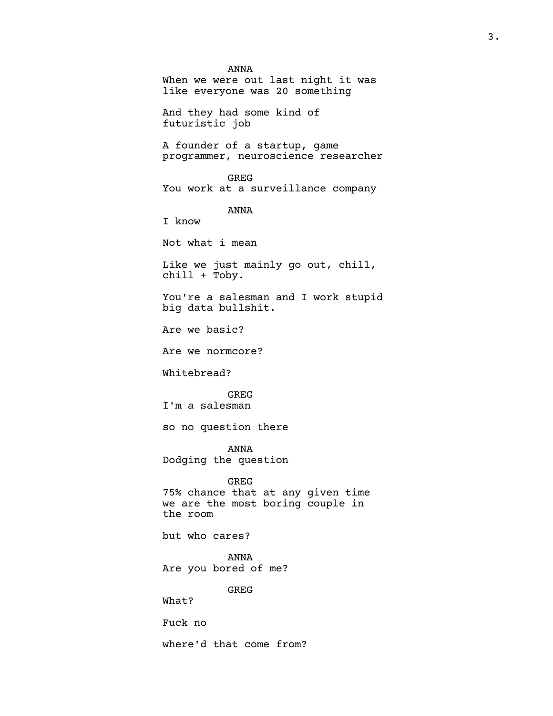ANNA When we were out last night it was like everyone was 20 something And they had some kind of futuristic job A founder of a startup, game programmer, neuroscience researcher GREG You work at a surveillance company ANNA I know Not what i mean Like we just mainly go out, chill, chill + Toby. You're a salesman and I work stupid big data bullshit. Are we basic? Are we normcore? Whitebread? GREG I'm a salesman so no question there ANNA Dodging the question GREG 75% chance that at any given time we are the most boring couple in the room but who cares? ANNA Are you bored of me? GREG What? Fuck no where'd that come from?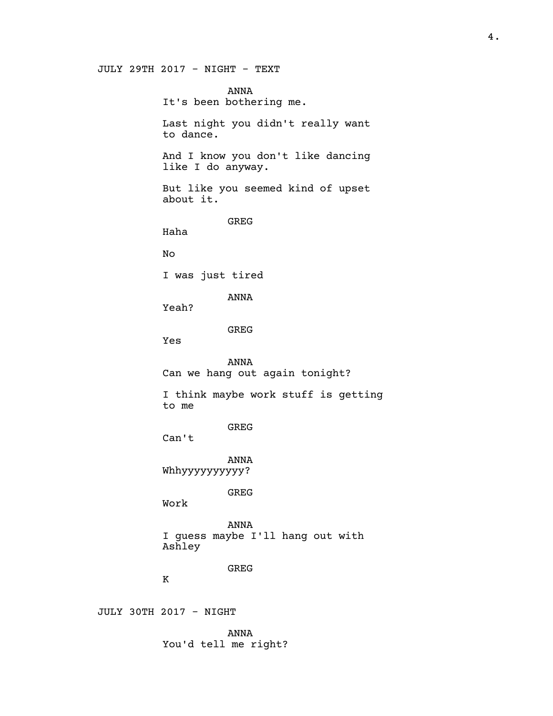#### JULY 29TH 2017 - NIGHT - TEXT

ANNA It's been bothering me. Last night you didn't really want to dance. And I know you don't like dancing like I do anyway. But like you seemed kind of upset about it. GREG Haha No I was just tired ANNA Yeah? GREG Yes ANNA Can we hang out again tonight? I think maybe work stuff is getting to me GREG Can't ANNA Whhyyyyyyyyyy? GREG Work ANNA I guess maybe I'll hang out with Ashley GREG  $\,$  K JULY 30TH 2017 - NIGHT

ANNA

You'd tell me right?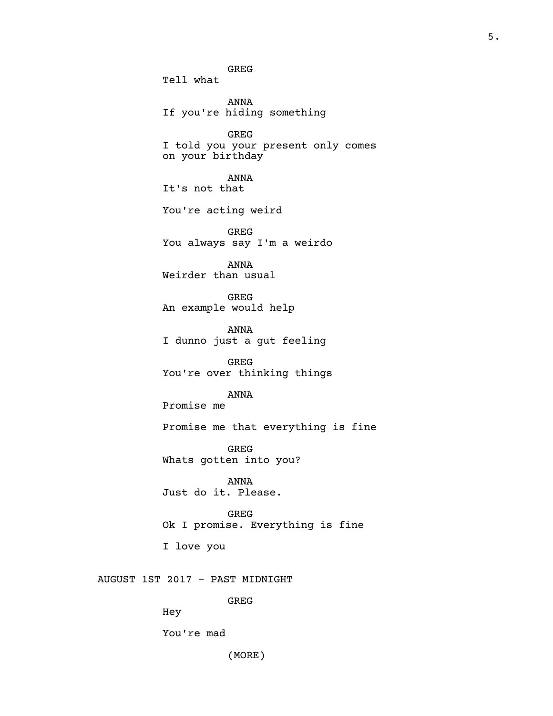GREG Tell what

ANNA If you're hiding something

GREG I told you your present only comes on your birthday

ANNA It's not that

You're acting weird

GREG You always say I'm a weirdo

ANNA Weirder than usual

GREG An example would help

ANNA I dunno just a gut feeling

GREG You're over thinking things

ANNA

Promise me

Promise me that everything is fine

GREG Whats gotten into you?

ANNA Just do it. Please.

GREG Ok I promise. Everything is fine

I love you

## AUGUST 1ST 2017 - PAST MIDNIGHT

GREG

Hey

You're mad

(MORE)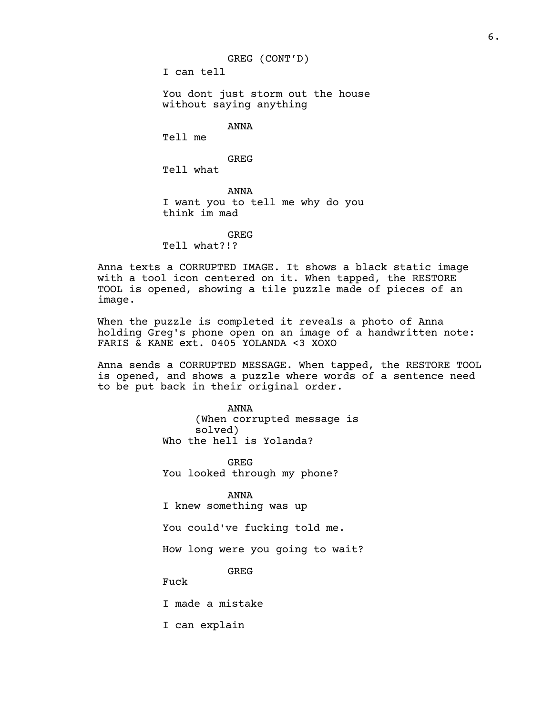I can tell

You dont just storm out the house without saying anything

ANNA

Tell me

GREG

Tell what

ANNA I want you to tell me why do you think im mad

GREG

Tell what?!?

Anna texts a CORRUPTED IMAGE. It shows a black static image with a tool icon centered on it. When tapped, the RESTORE TOOL is opened, showing a tile puzzle made of pieces of an image.

When the puzzle is completed it reveals a photo of Anna holding Greg's phone open on an image of a handwritten note: FARIS & KANE ext. 0405 YOLANDA <3 XOXO

Anna sends a CORRUPTED MESSAGE. When tapped, the RESTORE TOOL is opened, and shows a puzzle where words of a sentence need to be put back in their original order.

> ANNA (When corrupted message is solved) Who the hell is Yolanda?

GREG You looked through my phone?

ANNA I knew something was up

You could've fucking told me.

How long were you going to wait?

GREG

Fuck

I made a mistake

I can explain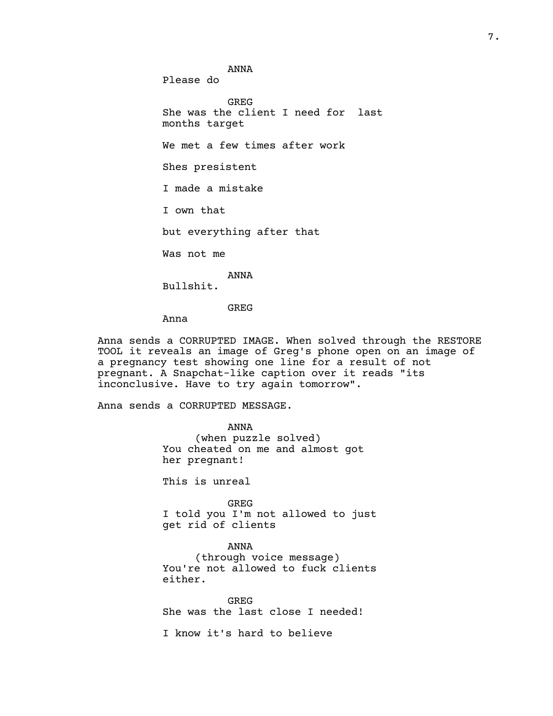ANNA

Please do

GREG She was the client I need for last months target We met a few times after work Shes presistent I made a mistake I own that but everything after that Was not me

ANNA Bullshit.

GREG

Anna

Anna sends a CORRUPTED IMAGE. When solved through the RESTORE TOOL it reveals an image of Greg's phone open on an image of a pregnancy test showing one line for a result of not pregnant. A Snapchat-like caption over it reads "its inconclusive. Have to try again tomorrow".

Anna sends a CORRUPTED MESSAGE.

ANNA (when puzzle solved) You cheated on me and almost got her pregnant!

This is unreal

GREG I told you I'm not allowed to just get rid of clients

ANNA (through voice message) You're not allowed to fuck clients either.

GREG She was the last close I needed!

I know it's hard to believe